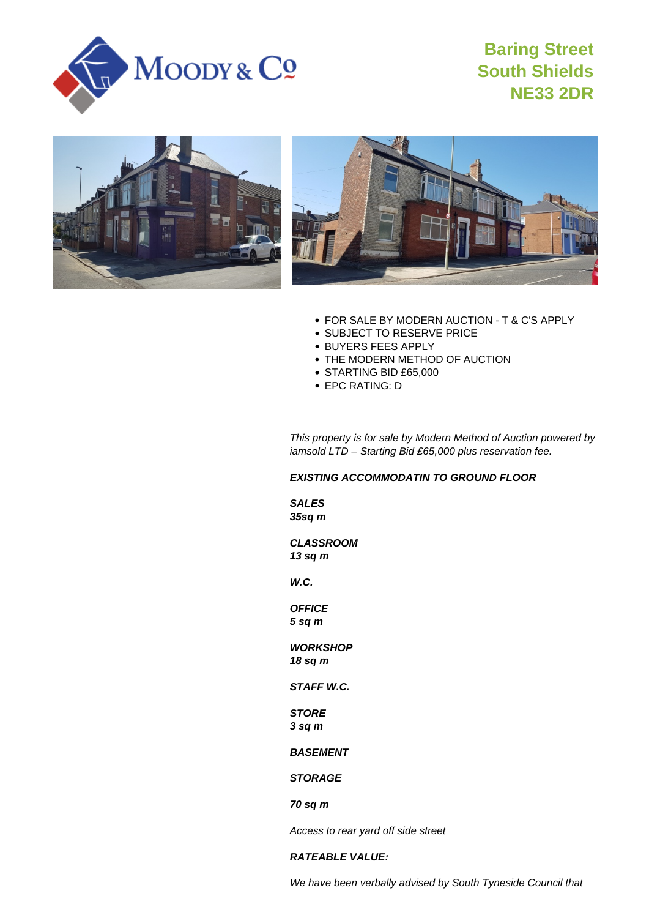

# **Baring Street South Shields NE33 2DR**





- FOR SALE BY MODERN AUCTION T & C'S APPLY
- **SUBJECT TO RESERVE PRICE**
- BUYERS FEES APPLY
- THE MODERN METHOD OF AUCTION
- STARTING BID £65,000
- EPC RATING: D

This property is for sale by Modern Method of Auction powered by iamsold LTD – Starting Bid £65,000 plus reservation fee.

# **EXISTING ACCOMMODATIN TO GROUND FLOOR**

**SALES 35sq m**

**CLASSROOM 13 sq m**

**W.C.**

**OFFICE 5 sq m**

**WORKSHOP 18 sq m**

**STAFF W.C.**

# **STORE 3 sq m**

**BASEMENT**

# **STORAGE**

**70 sq m**

Access to rear yard off side street

## **RATEABLE VALUE:**

We have been verbally advised by South Tyneside Council that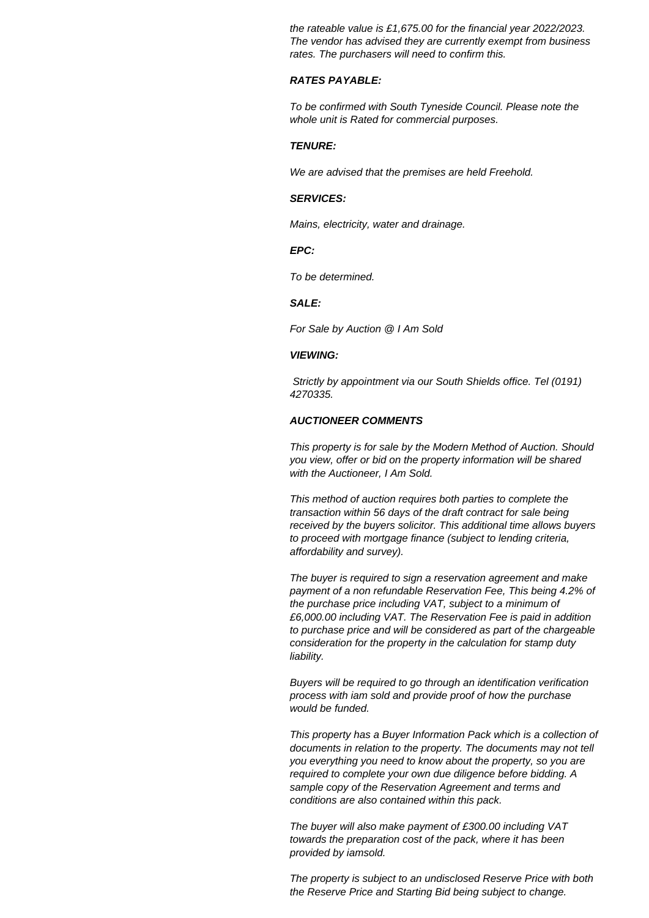the rateable value is £1,675.00 for the financial year 2022/2023. The vendor has advised they are currently exempt from business rates. The purchasers will need to confirm this.

## **RATES PAYABLE:**

To be confirmed with South Tyneside Council. Please note the whole unit is Rated for commercial purposes.

#### **TENURE:**

We are advised that the premises are held Freehold.

## **SERVICES:**

Mains, electricity, water and drainage.

# **EPC:**

To be determined.

## **SALE:**

For Sale by Auction @ I Am Sold

## **VIEWING:**

 Strictly by appointment via our South Shields office. Tel (0191) 4270335.

# **AUCTIONEER COMMENTS**

This property is for sale by the Modern Method of Auction. Should you view, offer or bid on the property information will be shared with the Auctioneer, I Am Sold.

This method of auction requires both parties to complete the transaction within 56 days of the draft contract for sale being received by the buyers solicitor. This additional time allows buyers to proceed with mortgage finance (subject to lending criteria, affordability and survey).

The buyer is required to sign a reservation agreement and make payment of a non refundable Reservation Fee, This being 4.2% of the purchase price including VAT, subject to a minimum of £6,000.00 including VAT. The Reservation Fee is paid in addition to purchase price and will be considered as part of the chargeable consideration for the property in the calculation for stamp duty liability.

Buyers will be required to go through an identification verification process with iam sold and provide proof of how the purchase would be funded.

This property has a Buyer Information Pack which is a collection of documents in relation to the property. The documents may not tell you everything you need to know about the property, so you are required to complete your own due diligence before bidding. A sample copy of the Reservation Agreement and terms and conditions are also contained within this pack.

The buyer will also make payment of £300.00 including VAT towards the preparation cost of the pack, where it has been provided by iamsold.

The property is subject to an undisclosed Reserve Price with both the Reserve Price and Starting Bid being subject to change.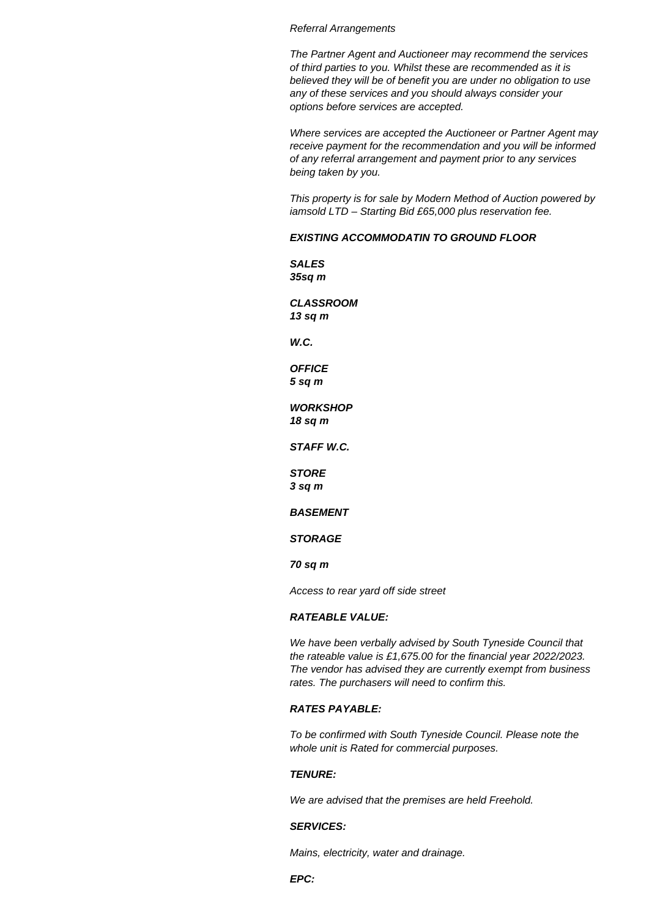#### Referral Arrangements

The Partner Agent and Auctioneer may recommend the services of third parties to you. Whilst these are recommended as it is believed they will be of benefit you are under no obligation to use any of these services and you should always consider your options before services are accepted.

Where services are accepted the Auctioneer or Partner Agent may receive payment for the recommendation and you will be informed of any referral arrangement and payment prior to any services being taken by you.

This property is for sale by Modern Method of Auction powered by iamsold LTD – Starting Bid £65,000 plus reservation fee.

# **EXISTING ACCOMMODATIN TO GROUND FLOOR**

**SALES 35sq m**

**CLASSROOM 13 sq m**

**W.C.**

**OFFICE 5 sq m**

**WORKSHOP 18 sq m**

**STAFF W.C.**

**STORE 3 sq m**

**BASEMENT**

**STORAGE**

**70 sq m**

Access to rear yard off side street

# **RATEABLE VALUE:**

We have been verbally advised by South Tyneside Council that the rateable value is £1,675.00 for the financial year 2022/2023. The vendor has advised they are currently exempt from business rates. The purchasers will need to confirm this.

# **RATES PAYABLE:**

To be confirmed with South Tyneside Council. Please note the whole unit is Rated for commercial purposes.

## **TENURE:**

We are advised that the premises are held Freehold.

## **SERVICES:**

Mains, electricity, water and drainage.

**EPC:**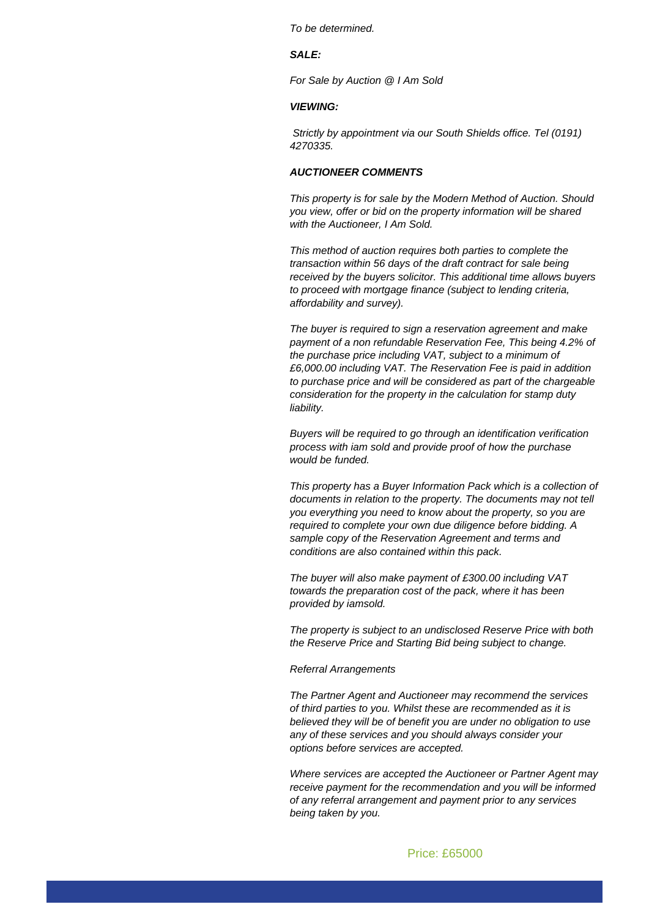To be determined.

# **SALE:**

For Sale by Auction @ I Am Sold

#### **VIEWING:**

 Strictly by appointment via our South Shields office. Tel (0191) 4270335.

## **AUCTIONEER COMMENTS**

This property is for sale by the Modern Method of Auction. Should you view, offer or bid on the property information will be shared with the Auctioneer, I Am Sold.

This method of auction requires both parties to complete the transaction within 56 days of the draft contract for sale being received by the buyers solicitor. This additional time allows buyers to proceed with mortgage finance (subject to lending criteria, affordability and survey).

The buyer is required to sign a reservation agreement and make payment of a non refundable Reservation Fee, This being 4.2% of the purchase price including VAT, subject to a minimum of £6,000.00 including VAT. The Reservation Fee is paid in addition to purchase price and will be considered as part of the chargeable consideration for the property in the calculation for stamp duty liability.

Buyers will be required to go through an identification verification process with iam sold and provide proof of how the purchase would be funded.

This property has a Buyer Information Pack which is a collection of documents in relation to the property. The documents may not tell you everything you need to know about the property, so you are required to complete your own due diligence before bidding. A sample copy of the Reservation Agreement and terms and conditions are also contained within this pack.

The buyer will also make payment of £300.00 including VAT towards the preparation cost of the pack, where it has been provided by iamsold.

The property is subject to an undisclosed Reserve Price with both the Reserve Price and Starting Bid being subject to change.

#### Referral Arrangements

The Partner Agent and Auctioneer may recommend the services of third parties to you. Whilst these are recommended as it is believed they will be of benefit you are under no obligation to use any of these services and you should always consider your options before services are accepted.

Where services are accepted the Auctioneer or Partner Agent may receive payment for the recommendation and you will be informed of any referral arrangement and payment prior to any services being taken by you.